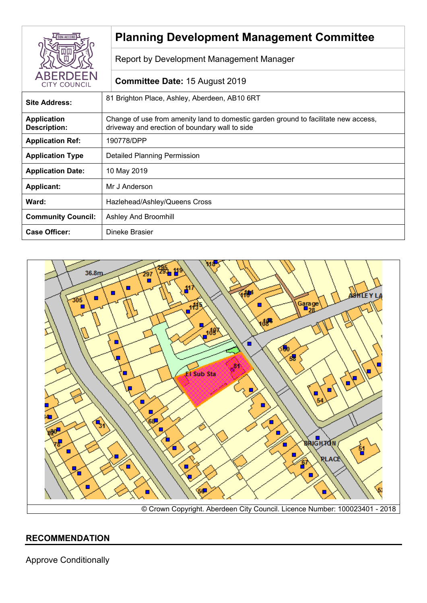|                                           | <b>Planning Development Management Committee</b>                                                                                      |
|-------------------------------------------|---------------------------------------------------------------------------------------------------------------------------------------|
|                                           | Report by Development Management Manager                                                                                              |
| <b>ABERDEEN</b><br><b>CITY COUNCIL</b>    | <b>Committee Date: 15 August 2019</b>                                                                                                 |
| <b>Site Address:</b>                      | 81 Brighton Place, Ashley, Aberdeen, AB10 6RT                                                                                         |
| <b>Application</b><br><b>Description:</b> | Change of use from amenity land to domestic garden ground to facilitate new access,<br>driveway and erection of boundary wall to side |
| <b>Application Ref:</b>                   | 190778/DPP                                                                                                                            |
| <b>Application Type</b>                   | <b>Detailed Planning Permission</b>                                                                                                   |
| <b>Application Date:</b>                  | 10 May 2019                                                                                                                           |
| <b>Applicant:</b>                         | Mr J Anderson                                                                                                                         |
| Ward:                                     | Hazlehead/Ashley/Queens Cross                                                                                                         |
| <b>Community Council:</b>                 | <b>Ashley And Broomhill</b>                                                                                                           |
| <b>Case Officer:</b>                      | Dineke Brasier                                                                                                                        |



# **RECOMMENDATION**

Approve Conditionally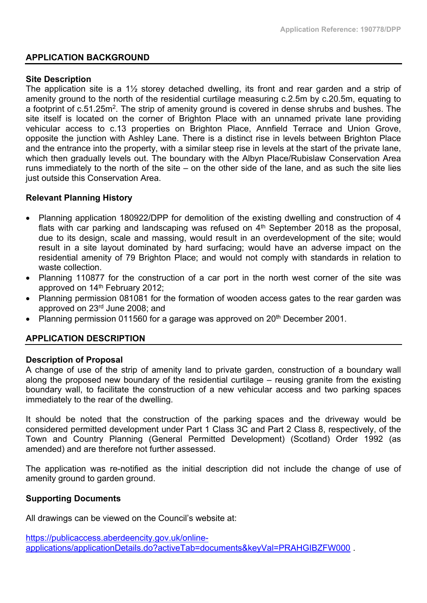#### **APPLICATION BACKGROUND**

#### **Site Description**

The application site is a 1½ storey detached dwelling, its front and rear garden and a strip of amenity ground to the north of the residential curtilage measuring c.2.5m by c.20.5m, equating to a footprint of c.51.25m<sup>2</sup>. The strip of amenity ground is covered in dense shrubs and bushes. The site itself is located on the corner of Brighton Place with an unnamed private lane providing vehicular access to c.13 properties on Brighton Place, Annfield Terrace and Union Grove, opposite the junction with Ashley Lane. There is a distinct rise in levels between Brighton Place and the entrance into the property, with a similar steep rise in levels at the start of the private lane, which then gradually levels out. The boundary with the Albyn Place/Rubislaw Conservation Area runs immediately to the north of the site – on the other side of the lane, and as such the site lies just outside this Conservation Area.

### **Relevant Planning History**

- Planning application 180922/DPP for demolition of the existing dwelling and construction of 4 flats with car parking and landscaping was refused on 4<sup>th</sup> September 2018 as the proposal, due to its design, scale and massing, would result in an overdevelopment of the site; would result in a site layout dominated by hard surfacing; would have an adverse impact on the residential amenity of 79 Brighton Place; and would not comply with standards in relation to waste collection.
- Planning 110877 for the construction of a car port in the north west corner of the site was approved on 14th February 2012;
- Planning permission 081081 for the formation of wooden access gates to the rear garden was approved on 23rd June 2008; and
- Planning permission 011560 for a garage was approved on 20<sup>th</sup> December 2001.

### **APPLICATION DESCRIPTION**

#### **Description of Proposal**

A change of use of the strip of amenity land to private garden, construction of a boundary wall along the proposed new boundary of the residential curtilage – reusing granite from the existing boundary wall, to facilitate the construction of a new vehicular access and two parking spaces immediately to the rear of the dwelling.

It should be noted that the construction of the parking spaces and the driveway would be considered permitted development under Part 1 Class 3C and Part 2 Class 8, respectively, of the Town and Country Planning (General Permitted Development) (Scotland) Order 1992 (as amended) and are therefore not further assessed.

The application was re-notified as the initial description did not include the change of use of amenity ground to garden ground.

#### **Supporting Documents**

All drawings can be viewed on the Council's website at:

[https://publicaccess.aberdeencity.gov.uk/online](https://publicaccess.aberdeencity.gov.uk/online-applications/applicationDetails.do?activeTab=documents&keyVal=PRAHGIBZFW000)[applications/applicationDetails.do?activeTab=documents&keyVal=PRAHGIBZFW000](https://publicaccess.aberdeencity.gov.uk/online-applications/applicationDetails.do?activeTab=documents&keyVal=PRAHGIBZFW000) .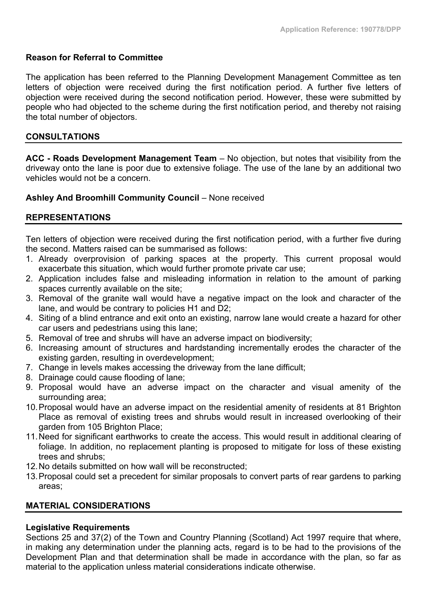### **Reason for Referral to Committee**

The application has been referred to the Planning Development Management Committee as ten letters of objection were received during the first notification period. A further five letters of objection were received during the second notification period. However, these were submitted by people who had objected to the scheme during the first notification period, and thereby not raising the total number of objectors.

#### **CONSULTATIONS**

**ACC - Roads Development Management Team** – No objection, but notes that visibility from the driveway onto the lane is poor due to extensive foliage. The use of the lane by an additional two vehicles would not be a concern.

#### **Ashley And Broomhill Community Council** – None received

### **REPRESENTATIONS**

Ten letters of objection were received during the first notification period, with a further five during the second. Matters raised can be summarised as follows:

- 1. Already overprovision of parking spaces at the property. This current proposal would exacerbate this situation, which would further promote private car use;
- 2. Application includes false and misleading information in relation to the amount of parking spaces currently available on the site;
- 3. Removal of the granite wall would have a negative impact on the look and character of the lane, and would be contrary to policies H1 and D2;
- 4. Siting of a blind entrance and exit onto an existing, narrow lane would create a hazard for other car users and pedestrians using this lane;
- 5. Removal of tree and shrubs will have an adverse impact on biodiversity;
- 6. Increasing amount of structures and hardstanding incrementally erodes the character of the existing garden, resulting in overdevelopment;
- 7. Change in levels makes accessing the driveway from the lane difficult;
- 8. Drainage could cause flooding of lane;
- 9. Proposal would have an adverse impact on the character and visual amenity of the surrounding area;
- 10.Proposal would have an adverse impact on the residential amenity of residents at 81 Brighton Place as removal of existing trees and shrubs would result in increased overlooking of their garden from 105 Brighton Place;
- 11.Need for significant earthworks to create the access. This would result in additional clearing of foliage. In addition, no replacement planting is proposed to mitigate for loss of these existing trees and shrubs;
- 12.No details submitted on how wall will be reconstructed;
- 13.Proposal could set a precedent for similar proposals to convert parts of rear gardens to parking areas;

# **MATERIAL CONSIDERATIONS**

#### **Legislative Requirements**

Sections 25 and 37(2) of the Town and Country Planning (Scotland) Act 1997 require that where, in making any determination under the planning acts, regard is to be had to the provisions of the Development Plan and that determination shall be made in accordance with the plan, so far as material to the application unless material considerations indicate otherwise.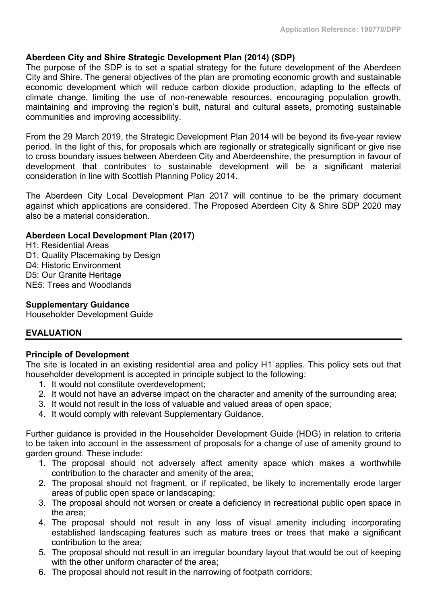# **Aberdeen City and Shire Strategic Development Plan (2014) (SDP)**

The purpose of the SDP is to set a spatial strategy for the future development of the Aberdeen City and Shire. The general objectives of the plan are promoting economic growth and sustainable economic development which will reduce carbon dioxide production, adapting to the effects of climate change, limiting the use of non-renewable resources, encouraging population growth, maintaining and improving the region's built, natural and cultural assets, promoting sustainable communities and improving accessibility.

From the 29 March 2019, the Strategic Development Plan 2014 will be beyond its five-year review period. In the light of this, for proposals which are regionally or strategically significant or give rise to cross boundary issues between Aberdeen City and Aberdeenshire, the presumption in favour of development that contributes to sustainable development will be a significant material consideration in line with Scottish Planning Policy 2014.

The Aberdeen City Local Development Plan 2017 will continue to be the primary document against which applications are considered. The Proposed Aberdeen City & Shire SDP 2020 may also be a material consideration.

# **Aberdeen Local Development Plan (2017)**

H1: Residential Areas D1: Quality Placemaking by Design D4: Historic Environment D5: Our Granite Heritage NE5: Trees and Woodlands

### **Supplementary Guidance**

Householder Development Guide

# **EVALUATION**

### **Principle of Development**

The site is located in an existing residential area and policy H1 applies. This policy sets out that householder development is accepted in principle subject to the following:

- 1. It would not constitute overdevelopment;
- 2. It would not have an adverse impact on the character and amenity of the surrounding area;
- 3. It would not result in the loss of valuable and valued areas of open space;
- 4. It would comply with relevant Supplementary Guidance.

Further guidance is provided in the Householder Development Guide (HDG) in relation to criteria to be taken into account in the assessment of proposals for a change of use of amenity ground to garden ground. These include:

- 1. The proposal should not adversely affect amenity space which makes a worthwhile contribution to the character and amenity of the area;
- 2. The proposal should not fragment, or if replicated, be likely to incrementally erode larger areas of public open space or landscaping;
- 3. The proposal should not worsen or create a deficiency in recreational public open space in the area;
- 4. The proposal should not result in any loss of visual amenity including incorporating established landscaping features such as mature trees or trees that make a significant contribution to the area;
- 5. The proposal should not result in an irregular boundary layout that would be out of keeping with the other uniform character of the area;
- 6. The proposal should not result in the narrowing of footpath corridors;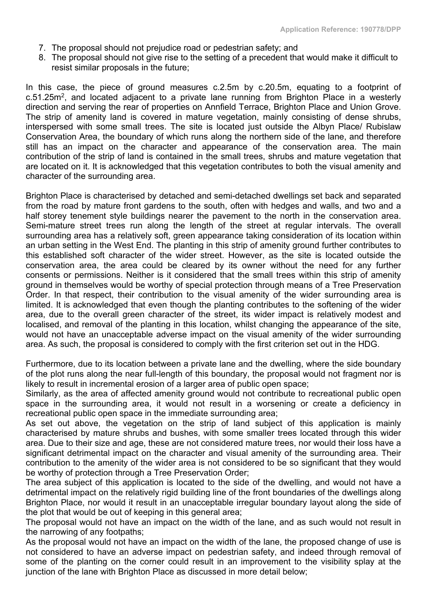- 7. The proposal should not prejudice road or pedestrian safety; and
- 8. The proposal should not give rise to the setting of a precedent that would make it difficult to resist similar proposals in the future;

In this case, the piece of ground measures c.2.5m by c.20.5m, equating to a footprint of c.51.25m<sup>2</sup>, and located adjacent to a private lane running from Brighton Place in a westerly direction and serving the rear of properties on Annfield Terrace, Brighton Place and Union Grove. The strip of amenity land is covered in mature vegetation, mainly consisting of dense shrubs, interspersed with some small trees. The site is located just outside the Albyn Place/ Rubislaw Conservation Area, the boundary of which runs along the northern side of the lane, and therefore still has an impact on the character and appearance of the conservation area. The main contribution of the strip of land is contained in the small trees, shrubs and mature vegetation that are located on it. It is acknowledged that this vegetation contributes to both the visual amenity and character of the surrounding area.

Brighton Place is characterised by detached and semi-detached dwellings set back and separated from the road by mature front gardens to the south, often with hedges and walls, and two and a half storey tenement style buildings nearer the pavement to the north in the conservation area. Semi-mature street trees run along the length of the street at regular intervals. The overall surrounding area has a relatively soft, green appearance taking consideration of its location within an urban setting in the West End. The planting in this strip of amenity ground further contributes to this established soft character of the wider street. However, as the site is located outside the conservation area, the area could be cleared by its owner without the need for any further consents or permissions. Neither is it considered that the small trees within this strip of amenity ground in themselves would be worthy of special protection through means of a Tree Preservation Order. In that respect, their contribution to the visual amenity of the wider surrounding area is limited. It is acknowledged that even though the planting contributes to the softening of the wider area, due to the overall green character of the street, its wider impact is relatively modest and localised, and removal of the planting in this location, whilst changing the appearance of the site, would not have an unacceptable adverse impact on the visual amenity of the wider surrounding area. As such, the proposal is considered to comply with the first criterion set out in the HDG.

Furthermore, due to its location between a private lane and the dwelling, where the side boundary of the plot runs along the near full-length of this boundary, the proposal would not fragment nor is likely to result in incremental erosion of a larger area of public open space;

Similarly, as the area of affected amenity ground would not contribute to recreational public open space in the surrounding area, it would not result in a worsening or create a deficiency in recreational public open space in the immediate surrounding area;

As set out above, the vegetation on the strip of land subject of this application is mainly characterised by mature shrubs and bushes, with some smaller trees located through this wider area. Due to their size and age, these are not considered mature trees, nor would their loss have a significant detrimental impact on the character and visual amenity of the surrounding area. Their contribution to the amenity of the wider area is not considered to be so significant that they would be worthy of protection through a Tree Preservation Order;

The area subject of this application is located to the side of the dwelling, and would not have a detrimental impact on the relatively rigid building line of the front boundaries of the dwellings along Brighton Place, nor would it result in an unacceptable irregular boundary layout along the side of the plot that would be out of keeping in this general area;

The proposal would not have an impact on the width of the lane, and as such would not result in the narrowing of any footpaths;

As the proposal would not have an impact on the width of the lane, the proposed change of use is not considered to have an adverse impact on pedestrian safety, and indeed through removal of some of the planting on the corner could result in an improvement to the visibility splay at the junction of the lane with Brighton Place as discussed in more detail below;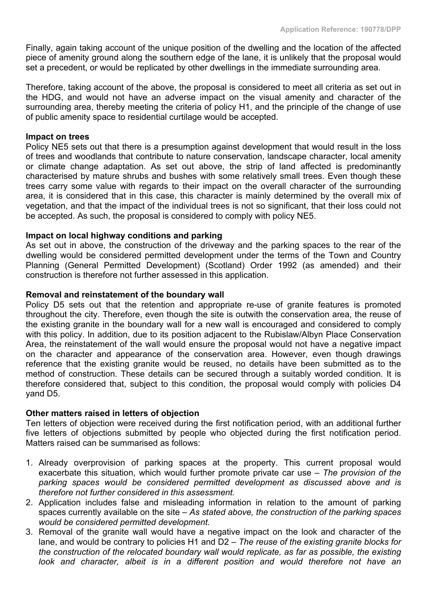Finally, again taking account of the unique position of the dwelling and the location of the affected piece of amenity ground along the southern edge of the lane, it is unlikely that the proposal would set a precedent, or would be replicated by other dwellings in the immediate surrounding area.

Therefore, taking account of the above, the proposal is considered to meet all criteria as set out in the HDG, and would not have an adverse impact on the visual amenity and character of the surrounding area, thereby meeting the criteria of policy H1, and the principle of the change of use of public amenity space to residential curtilage would be accepted.

#### **Impact on trees**

Policy NE5 sets out that there is a presumption against development that would result in the loss of trees and woodlands that contribute to nature conservation, landscape character, local amenity or climate change adaptation. As set out above, the strip of land affected is predominantly characterised by mature shrubs and bushes with some relatively small trees. Even though these trees carry some value with regards to their impact on the overall character of the surrounding area, it is considered that in this case, this character is mainly determined by the overall mix of vegetation, and that the impact of the individual trees is not so significant, that their loss could not be accepted. As such, the proposal is considered to comply with policy NE5.

### **Impact on local highway conditions and parking**

As set out in above, the construction of the driveway and the parking spaces to the rear of the dwelling would be considered permitted development under the terms of the Town and Country Planning (General Permitted Development) (Scotland) Order 1992 (as amended) and their construction is therefore not further assessed in this application.

#### **Removal and reinstatement of the boundary wall**

Policy D5 sets out that the retention and appropriate re-use of granite features is promoted throughout the city. Therefore, even though the site is outwith the conservation area, the reuse of the existing granite in the boundary wall for a new wall is encouraged and considered to comply with this policy. In addition, due to its position adjacent to the Rubislaw/Albyn Place Conservation Area, the reinstatement of the wall would ensure the proposal would not have a negative impact on the character and appearance of the conservation area. However, even though drawings reference that the existing granite would be reused, no details have been submitted as to the method of construction. These details can be secured through a suitably worded condition. It is therefore considered that, subject to this condition, the proposal would comply with policies D4 yand D5.

### **Other matters raised in letters of objection**

Ten letters of objection were received during the first notification period, with an additional further five letters of objections submitted by people who objected during the first notification period. Matters raised can be summarised as follows:

- 1. Already overprovision of parking spaces at the property. This current proposal would exacerbate this situation, which would further promote private car use *– The provision of the parking spaces would be considered permitted development as discussed above and is therefore not further considered in this assessment.*
- 2. Application includes false and misleading information in relation to the amount of parking spaces currently available on the site *– As stated above, the construction of the parking spaces would be considered permitted development.*
- 3. Removal of the granite wall would have a negative impact on the look and character of the lane, and would be contrary to policies H1 and D2 *– The reuse of the existing granite blocks for the construction of the relocated boundary wall would replicate, as far as possible, the existing look and character, albeit is in a different position and would therefore not have an*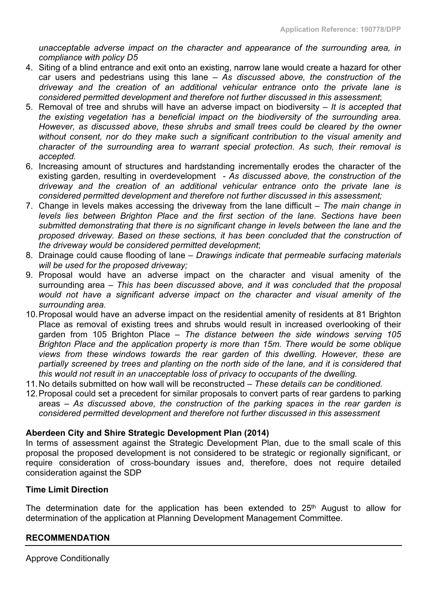*unacceptable adverse impact on the character and appearance of the surrounding area, in compliance with policy D5*

- 4. Siting of a blind entrance and exit onto an existing, narrow lane would create a hazard for other car users and pedestrians using this lane – *As discussed above, the construction of the driveway and the creation of an additional vehicular entrance onto the private lane is considered permitted development and therefore not further discussed in this assessment*;
- 5. Removal of tree and shrubs will have an adverse impact on biodiversity *– It is accepted that the existing vegetation has a beneficial impact on the biodiversity of the surrounding area. However, as discussed above, these shrubs and small trees could be cleared by the owner without consent, nor do they make such a significant contribution to the visual amenity and character of the surrounding area to warrant special protection. As such, their removal is accepted.*
- 6. Increasing amount of structures and hardstanding incrementally erodes the character of the existing garden, resulting in overdevelopment *- As discussed above, the construction of the driveway and the creation of an additional vehicular entrance onto the private lane is considered permitted development and therefore not further discussed in this assessment;*
- 7. Change in levels makes accessing the driveway from the lane difficult *– The main change in levels lies between Brighton Place and the first section of the lane. Sections have been submitted demonstrating that there is no significant change in levels between the lane and the proposed driveway. Based on these sections, it has been concluded that the construction of the driveway would be considered permitted development*;
- 8. Drainage could cause flooding of lane *Drawings indicate that permeable surfacing materials will be used for the proposed driveway;*
- 9. Proposal would have an adverse impact on the character and visual amenity of the surrounding area *– This has been discussed above, and it was concluded that the proposal would not have a significant adverse impact on the character and visual amenity of the surrounding area.*
- 10.Proposal would have an adverse impact on the residential amenity of residents at 81 Brighton Place as removal of existing trees and shrubs would result in increased overlooking of their garden from 105 Brighton Place *– The distance between the side windows serving 105 Brighton Place and the application property is more than 15m. There would be some oblique views from these windows towards the rear garden of this dwelling. However, these are partially screened by trees and planting on the north side of the lane, and it is considered that this would not result in an unacceptable loss of privacy to occupants of the dwelling.*
- 11.No details submitted on how wall will be reconstructed *– These details can be conditioned.*
- 12.Proposal could set a precedent for similar proposals to convert parts of rear gardens to parking areas *– As discussed above, the construction of the parking spaces in the rear garden is considered permitted development and therefore not further discussed in this assessment*

### **Aberdeen City and Shire Strategic Development Plan (2014)**

In terms of assessment against the Strategic Development Plan, due to the small scale of this proposal the proposed development is not considered to be strategic or regionally significant, or require consideration of cross-boundary issues and, therefore, does not require detailed consideration against the SDP

### **Time Limit Direction**

The determination date for the application has been extended to 25<sup>th</sup> August to allow for determination of the application at Planning Development Management Committee.

### **RECOMMENDATION**

Approve Conditionally